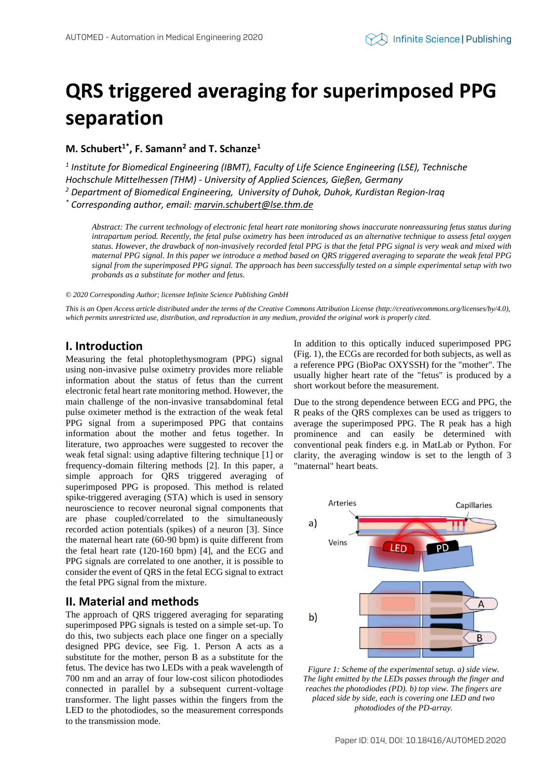# **QRS triggered averaging for superimposed PPG separation**

**M. Schubert1\* , F. Samann<sup>2</sup> and T. Schanze<sup>1</sup>**

*1 Institute for Biomedical Engineering (IBMT), Faculty of Life Science Engineering (LSE), Technische Hochschule Mittelhessen (THM) - University of Applied Sciences, Gießen, Germany <sup>2</sup> Department of Biomedical Engineering, University of Duhok, Duhok, Kurdistan Region-Iraq*

*\* Corresponding author, email: marvin.schubert@lse.thm.de*

*Abstract: The current technology of electronic fetal heart rate monitoring shows inaccurate nonreassuring fetus status during intrapartum period. Recently, the fetal pulse oximetry has been introduced as an alternative technique to assess fetal oxygen status. However, the drawback of non-invasively recorded fetal PPG is that the fetal PPG signal is very weak and mixed with maternal PPG signal. In this paper we introduce a method based on QRS triggered averaging to separate the weak fetal PPG signal from the superimposed PPG signal. The approach has been successfully tested on a simple experimental setup with two probands as a substitute for mother and fetus.*

*© 2020 Corresponding Author; licensee Infinite Science Publishing GmbH*

*This is an Open Access article distributed under the terms of the Creative Commons Attribution License (http://creativecommons.org/licenses/by/4.0),*  which permits unrestricted use, distribution, and reproduction in any medium, provided the original work is properly cited.

#### **I. Introduction**

Measuring the fetal photoplethysmogram (PPG) signal using non-invasive pulse oximetry provides more reliable information about the status of fetus than the current electronic fetal heart rate monitoring method. However, the main challenge of the non-invasive transabdominal fetal pulse oximeter method is the extraction of the weak fetal PPG signal from a superimposed PPG that contains information about the mother and fetus together. In literature, two approaches were suggested to recover the weak fetal signal: using adaptive filtering technique [1] or frequency-domain filtering methods [2]. In this paper, a simple approach for QRS triggered averaging of superimposed PPG is proposed. This method is related spike-triggered averaging (STA) which is used in sensory neuroscience to recover neuronal signal components that are phase coupled/correlated to the simultaneously recorded action potentials (spikes) of a neuron [3]. Since the maternal heart rate (60-90 bpm) is quite different from the fetal heart rate (120-160 bpm) [4], and the ECG and PPG signals are correlated to one another, it is possible to consider the event of QRS in the fetal ECG signal to extract the fetal PPG signal from the mixture.

### **II. Material and methods**

The approach of QRS triggered averaging for separating superimposed PPG signals is tested on a simple set-up. To do this, two subjects each place one finger on a specially designed PPG device, see Fig. 1. Person A acts as a substitute for the mother, person B as a substitute for the fetus. The device has two LEDs with a peak wavelength of 700 nm and an array of four low-cost silicon photodiodes connected in parallel by a subsequent current-voltage transformer. The light passes within the fingers from the LED to the photodiodes, so the measurement corresponds to the transmission mode.

In addition to this optically induced superimposed PPG (Fig. 1), the ECGs are recorded for both subjects, as well as a reference PPG (BioPac OXYSSH) for the "mother". The usually higher heart rate of the "fetus" is produced by a short workout before the measurement.

Due to the strong dependence between ECG and PPG, the R peaks of the QRS complexes can be used as triggers to average the superimposed PPG. The R peak has a high prominence and can easily be determined with conventional peak finders e.g. in MatLab or Python. For clarity, the averaging window is set to the length of 3 "maternal" heart beats.



*Figure 1: Scheme of the experimental setup. a) side view. The light emitted by the LEDs passes through the finger and reaches the photodiodes (PD). b) top view. The fingers are placed side by side, each is covering one LED and two photodiodes of the PD-array.*